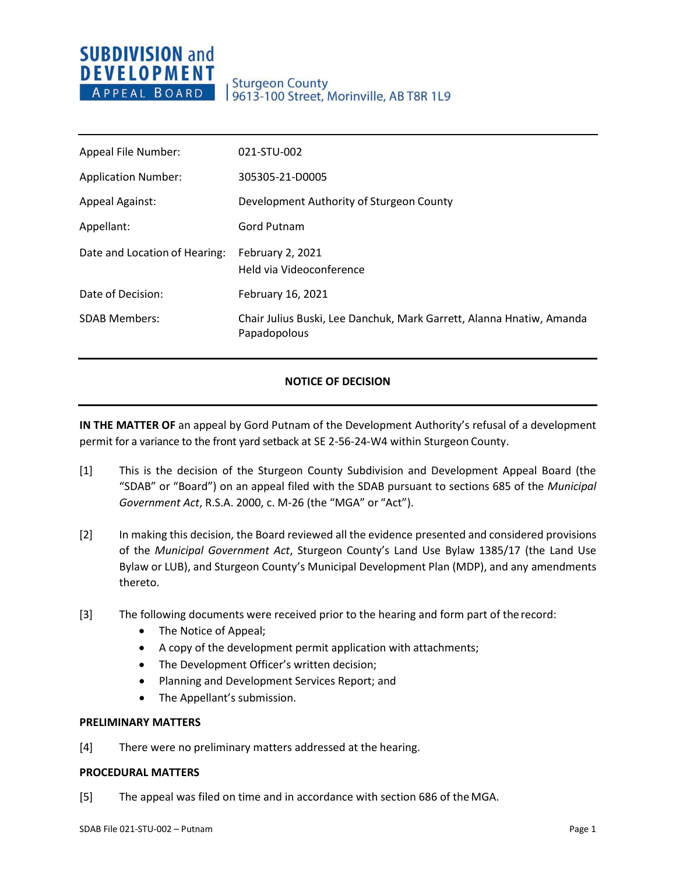# **SUBDIVISION and DEVELOPMENT** APPEAL BOARD

## **Sturgeon County** 9613-100 Street, Morinville, AB T8R 1L9

| Appeal File Number:           | 021-STU-002                                                                          |
|-------------------------------|--------------------------------------------------------------------------------------|
| <b>Application Number:</b>    | 305305-21-D0005                                                                      |
| <b>Appeal Against:</b>        | Development Authority of Sturgeon County                                             |
| Appellant:                    | <b>Gord Putnam</b>                                                                   |
| Date and Location of Hearing: | <b>February 2, 2021</b><br>Held via Videoconference                                  |
| Date of Decision:             | February 16, 2021                                                                    |
| <b>SDAB Members:</b>          | Chair Julius Buski, Lee Danchuk, Mark Garrett, Alanna Hnatiw, Amanda<br>Papadopolous |

### **NOTICE OF DECISION**

**IN THE MATTER OF** an appeal by Gord Putnam of the Development Authority's refusal of a development permit for a variance to the front yard setback at SE 2-56-24-W4 within Sturgeon County.

- [1] This is the decision of the Sturgeon County Subdivision and Development Appeal Board (the "SDAB" or "Board") on an appeal filed with the SDAB pursuant to sections 685 of the *Municipal Government Act*, R.S.A. 2000, c. M-26 (the "MGA" or "Act").
- [2] In making this decision, the Board reviewed all the evidence presented and considered provisions of the *Municipal Government Act*, Sturgeon County's Land Use Bylaw 1385/17 (the Land Use Bylaw or LUB), and Sturgeon County's Municipal Development Plan (MDP), and any amendments thereto.
- [3] The following documents were received prior to the hearing and form part of therecord:
	- The Notice of Appeal;
	- A copy of the development permit application with attachments;
	- The Development Officer's written decision;
	- Planning and Development Services Report; and
	- The Appellant's submission.

#### **PRELIMINARY MATTERS**

[4] There were no preliminary matters addressed at the hearing.

#### **PROCEDURAL MATTERS**

[5] The appeal was filed on time and in accordance with section 686 of theMGA.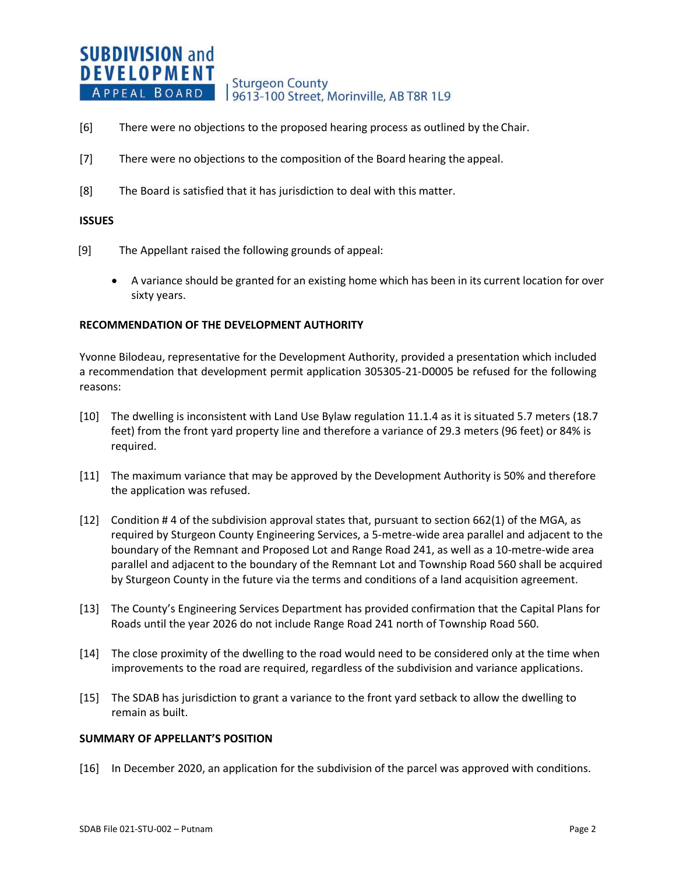#### **SUBDIVISION and DEVELOPMENT Sturgeon County** APPEAL BOARD 19613-100 Street, Morinville, AB T8R 1L9

- [6] There were no objections to the proposed hearing process as outlined by the Chair.
- [7] There were no objections to the composition of the Board hearing the appeal.
- [8] The Board is satisfied that it has jurisdiction to deal with this matter.

#### **ISSUES**

- [9] The Appellant raised the following grounds of appeal:
	- A variance should be granted for an existing home which has been in its current location for over sixty years.

#### **RECOMMENDATION OF THE DEVELOPMENT AUTHORITY**

Yvonne Bilodeau, representative for the Development Authority, provided a presentation which included a recommendation that development permit application 305305-21-D0005 be refused for the following reasons:

- [10] The dwelling is inconsistent with Land Use Bylaw regulation 11.1.4 as it is situated 5.7 meters (18.7 feet) from the front yard property line and therefore a variance of 29.3 meters (96 feet) or 84% is required.
- [11] The maximum variance that may be approved by the Development Authority is 50% and therefore the application was refused.
- [12] Condition # 4 of the subdivision approval states that, pursuant to section 662(1) of the MGA, as required by Sturgeon County Engineering Services, a 5-metre-wide area parallel and adjacent to the boundary of the Remnant and Proposed Lot and Range Road 241, as well as a 10-metre-wide area parallel and adjacent to the boundary of the Remnant Lot and Township Road 560 shall be acquired by Sturgeon County in the future via the terms and conditions of a land acquisition agreement.
- [13] The County's Engineering Services Department has provided confirmation that the Capital Plans for Roads until the year 2026 do not include Range Road 241 north of Township Road 560.
- [14] The close proximity of the dwelling to the road would need to be considered only at the time when improvements to the road are required, regardless of the subdivision and variance applications.
- [15] The SDAB has jurisdiction to grant a variance to the front yard setback to allow the dwelling to remain as built.

#### **SUMMARY OF APPELLANT'S POSITION**

[16] In December 2020, an application for the subdivision of the parcel was approved with conditions.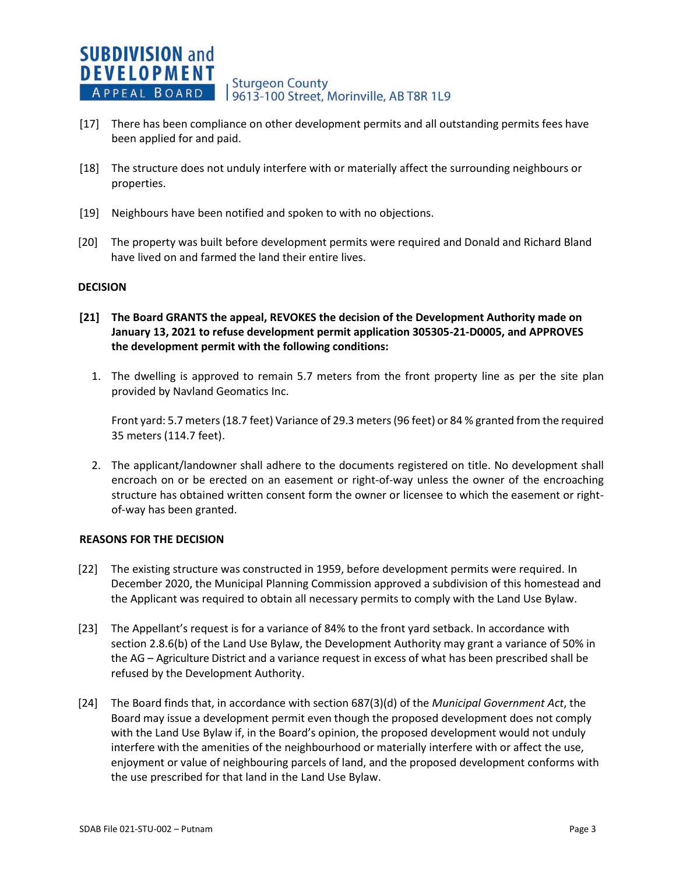- [17] There has been compliance on other development permits and all outstanding permits fees have been applied for and paid.
- [18] The structure does not unduly interfere with or materially affect the surrounding neighbours or properties.
- [19] Neighbours have been notified and spoken to with no objections.
- [20] The property was built before development permits were required and Donald and Richard Bland have lived on and farmed the land their entire lives.

### **DECISION**

- **[21] The Board GRANTS the appeal, REVOKES the decision of the Development Authority made on January 13, 2021 to refuse development permit application 305305-21-D0005, and APPROVES the development permit with the following conditions:**
	- 1. The dwelling is approved to remain 5.7 meters from the front property line as per the site plan provided by Navland Geomatics Inc.

Front yard: 5.7 meters (18.7 feet) Variance of 29.3 meters (96 feet) or 84 % granted from the required 35 meters (114.7 feet).

2. The applicant/landowner shall adhere to the documents registered on title. No development shall encroach on or be erected on an easement or right-of-way unless the owner of the encroaching structure has obtained written consent form the owner or licensee to which the easement or rightof-way has been granted.

#### **REASONS FOR THE DECISION**

- [22] The existing structure was constructed in 1959, before development permits were required. In December 2020, the Municipal Planning Commission approved a subdivision of this homestead and the Applicant was required to obtain all necessary permits to comply with the Land Use Bylaw.
- [23] The Appellant's request is for a variance of 84% to the front yard setback. In accordance with section 2.8.6(b) of the Land Use Bylaw, the Development Authority may grant a variance of 50% in the AG – Agriculture District and a variance request in excess of what has been prescribed shall be refused by the Development Authority.
- [24] The Board finds that, in accordance with section 687(3)(d) of the *Municipal Government Act*, the Board may issue a development permit even though the proposed development does not comply with the Land Use Bylaw if, in the Board's opinion, the proposed development would not unduly interfere with the amenities of the neighbourhood or materially interfere with or affect the use, enjoyment or value of neighbouring parcels of land, and the proposed development conforms with the use prescribed for that land in the Land Use Bylaw.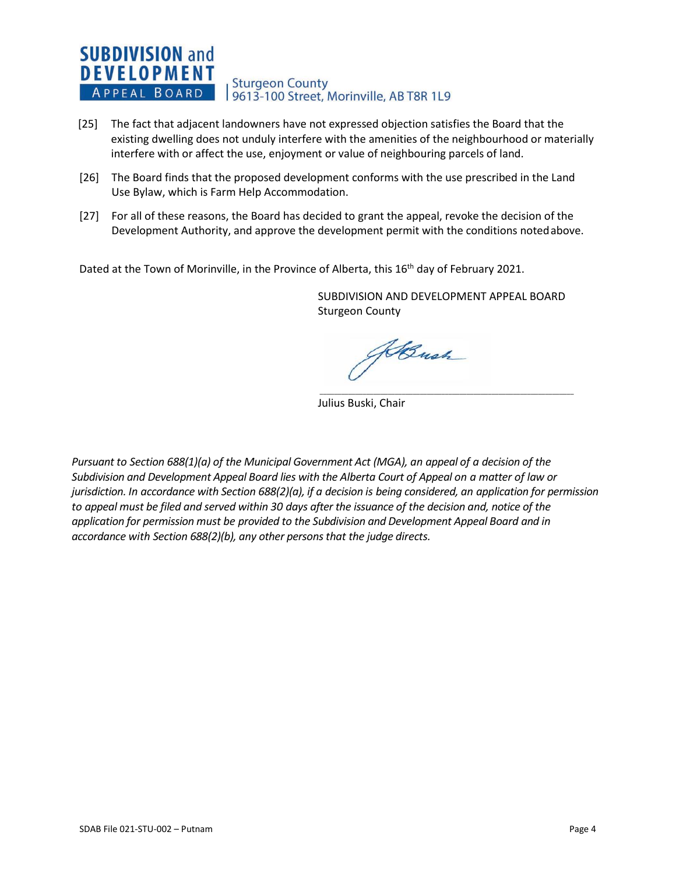## **SUBDIVISION and DEVELOPMENT** Sturgeon County<br>| 9613-100 Street, Morinville, AB T8R 1L9 APPEAL BOARD

- [25] The fact that adjacent landowners have not expressed objection satisfies the Board that the existing dwelling does not unduly interfere with the amenities of the neighbourhood or materially interfere with or affect the use, enjoyment or value of neighbouring parcels of land.
- [26] The Board finds that the proposed development conforms with the use prescribed in the Land Use Bylaw, which is Farm Help Accommodation.
- [27] For all of these reasons, the Board has decided to grant the appeal, revoke the decision of the Development Authority, and approve the development permit with the conditions notedabove.

Dated at the Town of Morinville, in the Province of Alberta, this 16<sup>th</sup> day of February 2021.

SUBDIVISION AND DEVELOPMENT APPEAL BOARD Sturgeon County

 $\overline{\phantom{a}}$  ,  $\overline{\phantom{a}}$  ,  $\overline{\phantom{a}}$  ,  $\overline{\phantom{a}}$  ,  $\overline{\phantom{a}}$  ,  $\overline{\phantom{a}}$  ,  $\overline{\phantom{a}}$  ,  $\overline{\phantom{a}}$  ,  $\overline{\phantom{a}}$  ,  $\overline{\phantom{a}}$  ,  $\overline{\phantom{a}}$  ,  $\overline{\phantom{a}}$  ,  $\overline{\phantom{a}}$  ,  $\overline{\phantom{a}}$  ,  $\overline{\phantom{a}}$  ,  $\overline{\phantom{a}}$ 

ABush

Julius Buski, Chair

*Pursuant to Section 688(1)(a) of the Municipal Government Act (MGA), an appeal of a decision of the Subdivision and Development Appeal Board lies with the Alberta Court of Appeal on a matter of law or jurisdiction. In accordance with Section 688(2)(a), if a decision is being considered, an application for permission to appeal must be filed and served within 30 days after the issuance of the decision and, notice of the application for permission must be provided to the Subdivision and Development Appeal Board and in accordance with Section 688(2)(b), any other persons that the judge directs.*